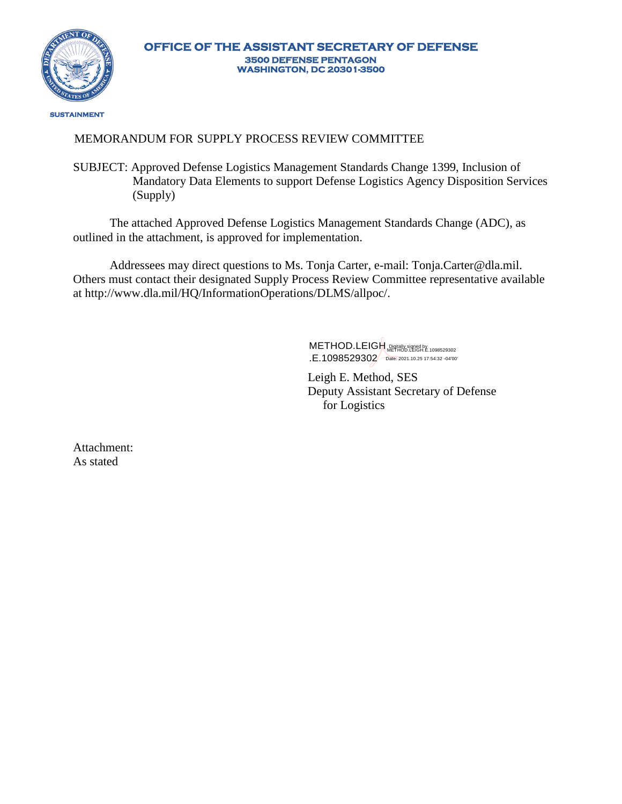

## MEMORANDUM FOR SUPPLY PROCESS REVIEW COMMITTEE

SUBJECT: Approved Defense Logistics Management Standards Change 1399, Inclusion of Mandatory Data Elements to support Defense Logistics Agency Disposition Services (Supply)

The attached Approved Defense Logistics Management Standards Change (ADC), as outlined in the attachment, is approved for implementation.

Addressees may direct questions to Ms. Tonja Carter, e-m[ail: Tonja.Carter@dla.mil.](mailto:Tonja.Carter@dla.mil) Others must contact their designated Supply Process Review Committee representative available [at http://www.dla.mil/HQ/InformationOperations/DLMS/allpoc/.](http://www.dla.mil/HQ/InformationOperations/DLMS/allpoc/)

> METHOD.LEIGH Regially signally 1098529302 .E.1098529302 Date: 2021.10.25 17:54:32 -04'00'

Leigh E. Method, SES Deputy Assistant Secretary of Defense for Logistics

Attachment: As stated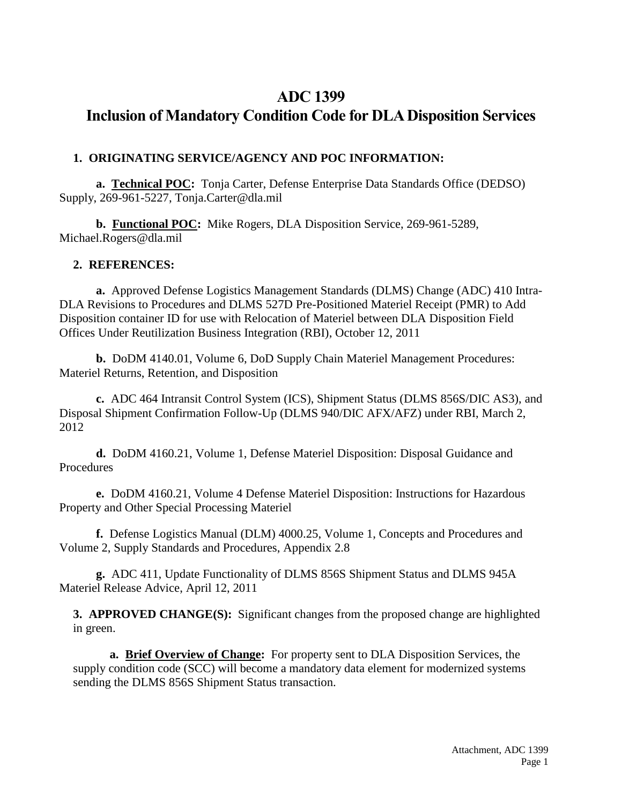## **ADC 1399**

# **Inclusion of Mandatory Condition Code for DLA Disposition Services**

## **1. ORIGINATING SERVICE/AGENCY AND POC INFORMATION:**

**a. Technical POC:** Tonja Carter, Defense Enterprise Data Standards Office (DEDSO) Supply, 269-961-5227, Tonja.Carter@dla.mil

**b. Functional POC:** Mike Rogers, DLA Disposition Service, 269-961-5289, Michael.Rogers@dla.mil

## **2. REFERENCES:**

**a.** Approved Defense Logistics Management Standards (DLMS) Change (ADC) 410 Intra-DLA Revisions to Procedures and DLMS 527D Pre-Positioned Materiel Receipt (PMR) to Add Disposition container ID for use with Relocation of Materiel between DLA Disposition Field Offices Under Reutilization Business Integration (RBI), October 12, 2011

**b.** DoDM 4140.01, Volume 6, DoD Supply Chain Materiel Management Procedures: Materiel Returns, Retention, and Disposition

**c.** ADC 464 Intransit Control System (ICS), Shipment Status (DLMS 856S/DIC AS3), and Disposal Shipment Confirmation Follow-Up (DLMS 940/DIC AFX/AFZ) under RBI, March 2, 2012

**d.** DoDM 4160.21, Volume 1, Defense Materiel Disposition: Disposal Guidance and Procedures

**e.** DoDM 4160.21, Volume 4 Defense Materiel Disposition: Instructions for Hazardous Property and Other Special Processing Materiel

**f.** Defense Logistics Manual (DLM) 4000.25, Volume 1, Concepts and Procedures and Volume 2, Supply Standards and Procedures, Appendix 2.8

**g.** ADC 411, Update Functionality of DLMS 856S Shipment Status and DLMS 945A Materiel Release Advice, April 12, 2011

**3. APPROVED CHANGE(S):** Significant changes from the proposed change are highlighted in green.

**a. Brief Overview of Change:** For property sent to DLA Disposition Services, the supply condition code (SCC) will become a mandatory data element for modernized systems sending the DLMS 856S Shipment Status transaction.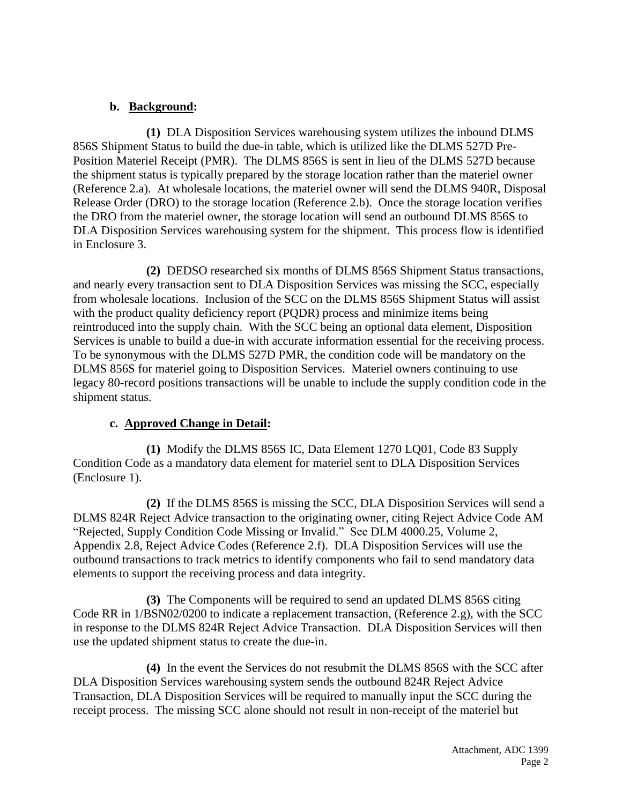## **b. Background:**

**(1)** DLA Disposition Services warehousing system utilizes the inbound DLMS 856S Shipment Status to build the due-in table, which is utilized like the DLMS 527D Pre-Position Materiel Receipt (PMR). The DLMS 856S is sent in lieu of the DLMS 527D because the shipment status is typically prepared by the storage location rather than the materiel owner (Reference 2.a). At wholesale locations, the materiel owner will send the DLMS 940R, Disposal Release Order (DRO) to the storage location (Reference 2.b). Once the storage location verifies the DRO from the materiel owner, the storage location will send an outbound DLMS 856S to DLA Disposition Services warehousing system for the shipment. This process flow is identified in Enclosure 3.

**(2)** DEDSO researched six months of DLMS 856S Shipment Status transactions, and nearly every transaction sent to DLA Disposition Services was missing the SCC, especially from wholesale locations. Inclusion of the SCC on the DLMS 856S Shipment Status will assist with the product quality deficiency report (PQDR) process and minimize items being reintroduced into the supply chain. With the SCC being an optional data element, Disposition Services is unable to build a due-in with accurate information essential for the receiving process. To be synonymous with the DLMS 527D PMR, the condition code will be mandatory on the DLMS 856S for materiel going to Disposition Services. Materiel owners continuing to use legacy 80-record positions transactions will be unable to include the supply condition code in the shipment status.

## **c. Approved Change in Detail:**

**(1)** Modify the DLMS 856S IC, Data Element 1270 LQ01, Code 83 Supply Condition Code as a mandatory data element for materiel sent to DLA Disposition Services (Enclosure 1).

**(2)** If the DLMS 856S is missing the SCC, DLA Disposition Services will send a DLMS 824R Reject Advice transaction to the originating owner, citing Reject Advice Code AM "Rejected, Supply Condition Code Missing or Invalid." See DLM 4000.25, Volume 2, Appendix 2.8, Reject Advice Codes (Reference 2.f). DLA Disposition Services will use the outbound transactions to track metrics to identify components who fail to send mandatory data elements to support the receiving process and data integrity.

**(3)** The Components will be required to send an updated DLMS 856S citing Code RR in 1/BSN02/0200 to indicate a replacement transaction, (Reference 2.g), with the SCC in response to the DLMS 824R Reject Advice Transaction. DLA Disposition Services will then use the updated shipment status to create the due-in.

**(4)** In the event the Services do not resubmit the DLMS 856S with the SCC after DLA Disposition Services warehousing system sends the outbound 824R Reject Advice Transaction, DLA Disposition Services will be required to manually input the SCC during the receipt process. The missing SCC alone should not result in non-receipt of the materiel but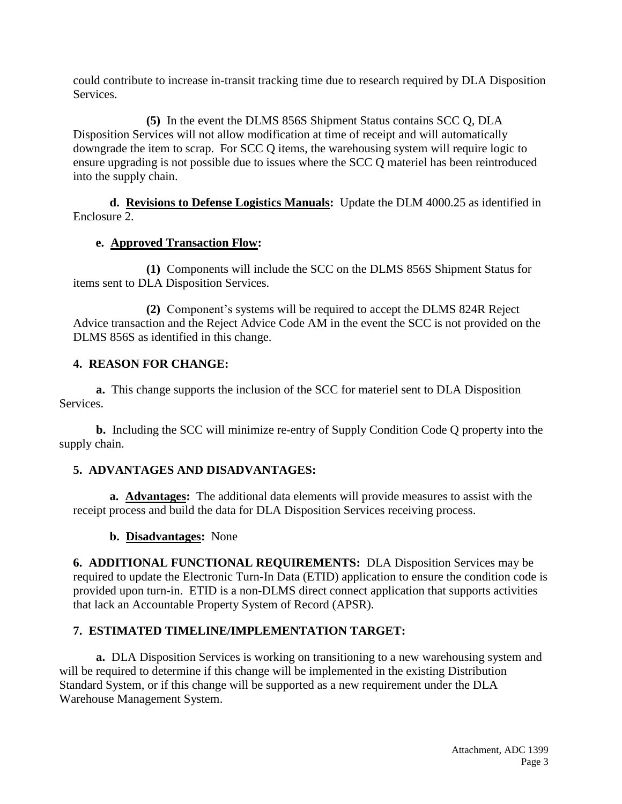could contribute to increase in-transit tracking time due to research required by DLA Disposition Services.

**(5)** In the event the DLMS 856S Shipment Status contains SCC Q, DLA Disposition Services will not allow modification at time of receipt and will automatically downgrade the item to scrap. For SCC Q items, the warehousing system will require logic to ensure upgrading is not possible due to issues where the SCC Q materiel has been reintroduced into the supply chain.

**d. Revisions to Defense Logistics Manuals:** Update the DLM 4000.25 as identified in Enclosure 2.

#### **e. Approved Transaction Flow:**

**(1)** Components will include the SCC on the DLMS 856S Shipment Status for items sent to DLA Disposition Services.

**(2)** Component's systems will be required to accept the DLMS 824R Reject Advice transaction and the Reject Advice Code AM in the event the SCC is not provided on the DLMS 856S as identified in this change.

## **4. REASON FOR CHANGE:**

**a.** This change supports the inclusion of the SCC for materiel sent to DLA Disposition Services.

**b.** Including the SCC will minimize re-entry of Supply Condition Code Q property into the supply chain.

## **5. ADVANTAGES AND DISADVANTAGES:**

**a. Advantages:** The additional data elements will provide measures to assist with the receipt process and build the data for DLA Disposition Services receiving process.

**b. Disadvantages:** None

**6. ADDITIONAL FUNCTIONAL REQUIREMENTS:** DLA Disposition Services may be required to update the Electronic Turn-In Data (ETID) application to ensure the condition code is provided upon turn-in. ETID is a non-DLMS direct connect application that supports activities that lack an Accountable Property System of Record (APSR).

## **7. ESTIMATED TIMELINE/IMPLEMENTATION TARGET:**

**a.** DLA Disposition Services is working on transitioning to a new warehousing system and will be required to determine if this change will be implemented in the existing Distribution Standard System, or if this change will be supported as a new requirement under the DLA Warehouse Management System.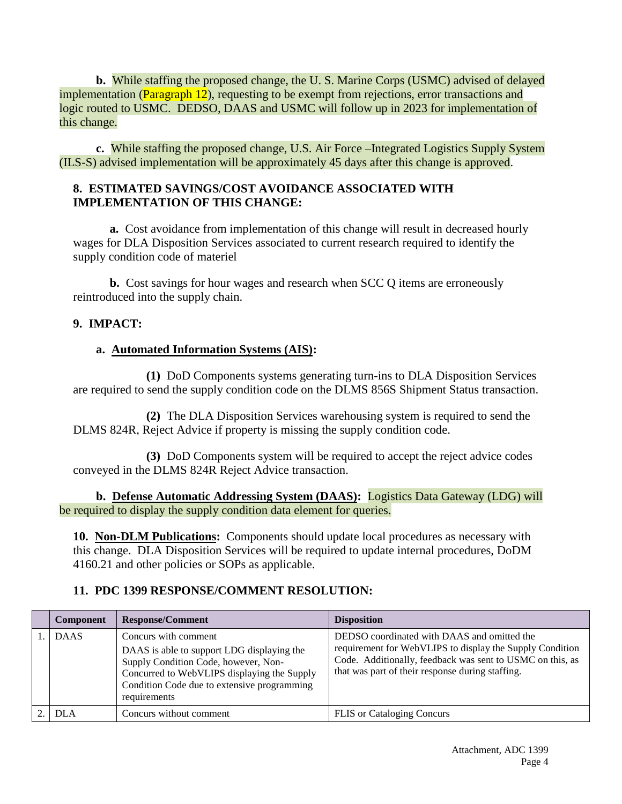**b.** While staffing the proposed change, the U. S. Marine Corps (USMC) advised of delayed implementation (Paragraph 12), requesting to be exempt from rejections, error transactions and logic routed to USMC. DEDSO, DAAS and USMC will follow up in 2023 for implementation of this change.

**c.** While staffing the proposed change, U.S. Air Force –Integrated Logistics Supply System (ILS-S) advised implementation will be approximately 45 days after this change is approved.

## **8. ESTIMATED SAVINGS/COST AVOIDANCE ASSOCIATED WITH IMPLEMENTATION OF THIS CHANGE:**

**a.** Cost avoidance from implementation of this change will result in decreased hourly wages for DLA Disposition Services associated to current research required to identify the supply condition code of materiel

**b.** Cost savings for hour wages and research when SCC Q items are erroneously reintroduced into the supply chain.

## **9. IMPACT:**

#### **a. Automated Information Systems (AIS):**

**(1)** DoD Components systems generating turn-ins to DLA Disposition Services are required to send the supply condition code on the DLMS 856S Shipment Status transaction.

**(2)** The DLA Disposition Services warehousing system is required to send the DLMS 824R, Reject Advice if property is missing the supply condition code.

**(3)** DoD Components system will be required to accept the reject advice codes conveyed in the DLMS 824R Reject Advice transaction.

**b. Defense Automatic Addressing System (DAAS):** Logistics Data Gateway (LDG) will be required to display the supply condition data element for queries.

**10. Non-DLM Publications:** Components should update local procedures as necessary with this change. DLA Disposition Services will be required to update internal procedures, DoDM 4160.21 and other policies or SOPs as applicable.

#### **11. PDC 1399 RESPONSE/COMMENT RESOLUTION:**

| <b>Component</b> | <b>Response/Comment</b>                                                                                                                                                                                                  | <b>Disposition</b>                                                                                                                                                                                                       |
|------------------|--------------------------------------------------------------------------------------------------------------------------------------------------------------------------------------------------------------------------|--------------------------------------------------------------------------------------------------------------------------------------------------------------------------------------------------------------------------|
| <b>DAAS</b>      | Concurs with comment<br>DAAS is able to support LDG displaying the<br>Supply Condition Code, however, Non-<br>Concurred to WebVLIPS displaying the Supply<br>Condition Code due to extensive programming<br>requirements | DEDSO coordinated with DAAS and omitted the<br>requirement for WebVLIPS to display the Supply Condition<br>Code. Additionally, feedback was sent to USMC on this, as<br>that was part of their response during staffing. |
| <b>DLA</b>       | Concurs without comment                                                                                                                                                                                                  | <b>FLIS</b> or Cataloging Concurs                                                                                                                                                                                        |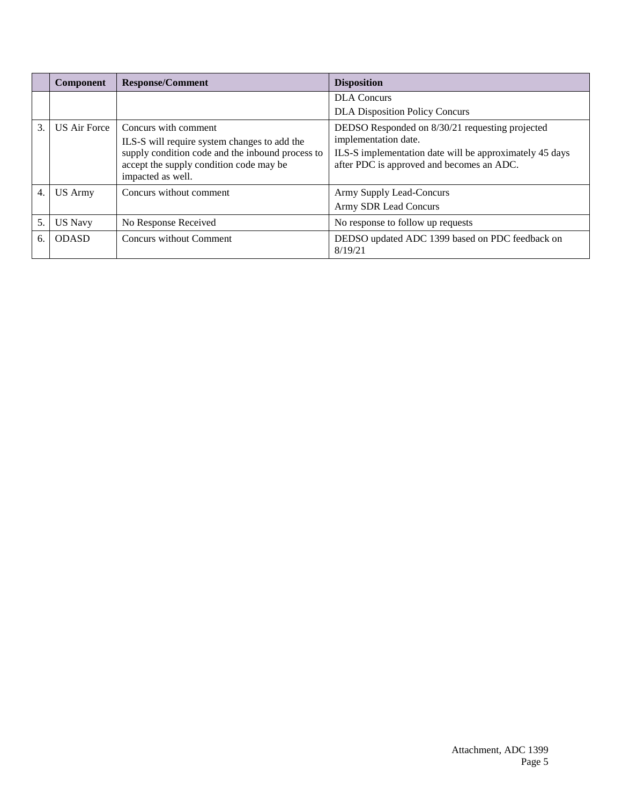|                  | Component           | <b>Response/Comment</b>                                                                                                                                                                  | <b>Disposition</b>                                                                                                                                                              |
|------------------|---------------------|------------------------------------------------------------------------------------------------------------------------------------------------------------------------------------------|---------------------------------------------------------------------------------------------------------------------------------------------------------------------------------|
|                  |                     |                                                                                                                                                                                          | <b>DLA</b> Concurs                                                                                                                                                              |
|                  |                     |                                                                                                                                                                                          | <b>DLA Disposition Policy Concurs</b>                                                                                                                                           |
| 3.               | <b>US Air Force</b> | Concurs with comment<br>ILS-S will require system changes to add the<br>supply condition code and the inbound process to<br>accept the supply condition code may be<br>impacted as well. | DEDSO Responded on 8/30/21 requesting projected<br>implementation date.<br>ILS-S implementation date will be approximately 45 days<br>after PDC is approved and becomes an ADC. |
| $\overline{4}$ . | <b>US Army</b>      | Concurs without comment                                                                                                                                                                  | Army Supply Lead-Concurs<br>Army SDR Lead Concurs                                                                                                                               |
| 5.               | <b>US Navy</b>      | No Response Received                                                                                                                                                                     | No response to follow up requests                                                                                                                                               |
| 6.               | <b>ODASD</b>        | Concurs without Comment                                                                                                                                                                  | DEDSO updated ADC 1399 based on PDC feedback on<br>8/19/21                                                                                                                      |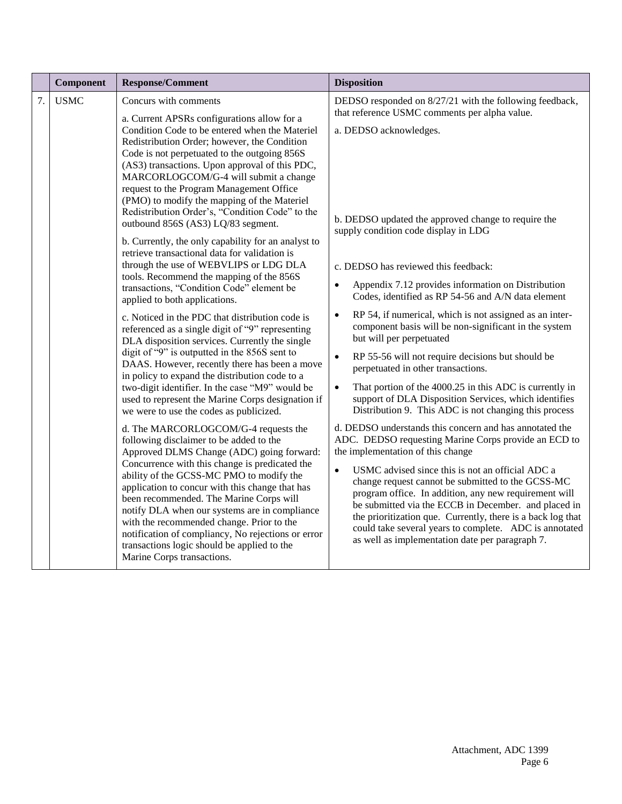|    | Component   | <b>Response/Comment</b>                                                                                                                                                                                                                                                                                                                                                                                                                                                                                                                                                                                                                                                                                                                                                                                                                                                                                                                                                                                                                                                                                                                                                                                                                                                                                                                                                                                                                                                                                                                                                                                                                                                                                                                                                                                        | <b>Disposition</b>                                                                                                                                                                                                                                                                                                                                                                                                                                                                                                                                                                                                                                                                                                                                                                                                                                                                                                                                                                                                                                                                                                                                                                                                                                                                                                                                                                                                              |
|----|-------------|----------------------------------------------------------------------------------------------------------------------------------------------------------------------------------------------------------------------------------------------------------------------------------------------------------------------------------------------------------------------------------------------------------------------------------------------------------------------------------------------------------------------------------------------------------------------------------------------------------------------------------------------------------------------------------------------------------------------------------------------------------------------------------------------------------------------------------------------------------------------------------------------------------------------------------------------------------------------------------------------------------------------------------------------------------------------------------------------------------------------------------------------------------------------------------------------------------------------------------------------------------------------------------------------------------------------------------------------------------------------------------------------------------------------------------------------------------------------------------------------------------------------------------------------------------------------------------------------------------------------------------------------------------------------------------------------------------------------------------------------------------------------------------------------------------------|---------------------------------------------------------------------------------------------------------------------------------------------------------------------------------------------------------------------------------------------------------------------------------------------------------------------------------------------------------------------------------------------------------------------------------------------------------------------------------------------------------------------------------------------------------------------------------------------------------------------------------------------------------------------------------------------------------------------------------------------------------------------------------------------------------------------------------------------------------------------------------------------------------------------------------------------------------------------------------------------------------------------------------------------------------------------------------------------------------------------------------------------------------------------------------------------------------------------------------------------------------------------------------------------------------------------------------------------------------------------------------------------------------------------------------|
| 7. | <b>USMC</b> | Concurs with comments<br>a. Current APSRs configurations allow for a<br>Condition Code to be entered when the Materiel<br>Redistribution Order; however, the Condition<br>Code is not perpetuated to the outgoing 856S<br>(AS3) transactions. Upon approval of this PDC,<br>MARCORLOGCOM/G-4 will submit a change<br>request to the Program Management Office<br>(PMO) to modify the mapping of the Materiel<br>Redistribution Order's, "Condition Code" to the<br>outbound 856S (AS3) LQ/83 segment.<br>b. Currently, the only capability for an analyst to<br>retrieve transactional data for validation is<br>through the use of WEBVLIPS or LDG DLA<br>tools. Recommend the mapping of the 856S<br>transactions, "Condition Code" element be<br>applied to both applications.<br>c. Noticed in the PDC that distribution code is<br>referenced as a single digit of "9" representing<br>DLA disposition services. Currently the single<br>digit of "9" is outputted in the 856S sent to<br>DAAS. However, recently there has been a move<br>in policy to expand the distribution code to a<br>two-digit identifier. In the case "M9" would be<br>used to represent the Marine Corps designation if<br>we were to use the codes as publicized.<br>d. The MARCORLOGCOM/G-4 requests the<br>following disclaimer to be added to the<br>Approved DLMS Change (ADC) going forward:<br>Concurrence with this change is predicated the<br>ability of the GCSS-MC PMO to modify the<br>application to concur with this change that has<br>been recommended. The Marine Corps will<br>notify DLA when our systems are in compliance<br>with the recommended change. Prior to the<br>notification of compliancy, No rejections or error<br>transactions logic should be applied to the<br>Marine Corps transactions. | DEDSO responded on 8/27/21 with the following feedback,<br>that reference USMC comments per alpha value.<br>a. DEDSO acknowledges.<br>b. DEDSO updated the approved change to require the<br>supply condition code display in LDG<br>c. DEDSO has reviewed this feedback:<br>Appendix 7.12 provides information on Distribution<br>Codes, identified as RP 54-56 and A/N data element<br>RP 54, if numerical, which is not assigned as an inter-<br>$\bullet$<br>component basis will be non-significant in the system<br>but will per perpetuated<br>RP 55-56 will not require decisions but should be<br>$\bullet$<br>perpetuated in other transactions.<br>That portion of the 4000.25 in this ADC is currently in<br>$\bullet$<br>support of DLA Disposition Services, which identifies<br>Distribution 9. This ADC is not changing this process<br>d. DEDSO understands this concern and has annotated the<br>ADC. DEDSO requesting Marine Corps provide an ECD to<br>the implementation of this change<br>USMC advised since this is not an official ADC a<br>$\bullet$<br>change request cannot be submitted to the GCSS-MC<br>program office. In addition, any new requirement will<br>be submitted via the ECCB in December. and placed in<br>the prioritization que. Currently, there is a back log that<br>could take several years to complete. ADC is annotated<br>as well as implementation date per paragraph 7. |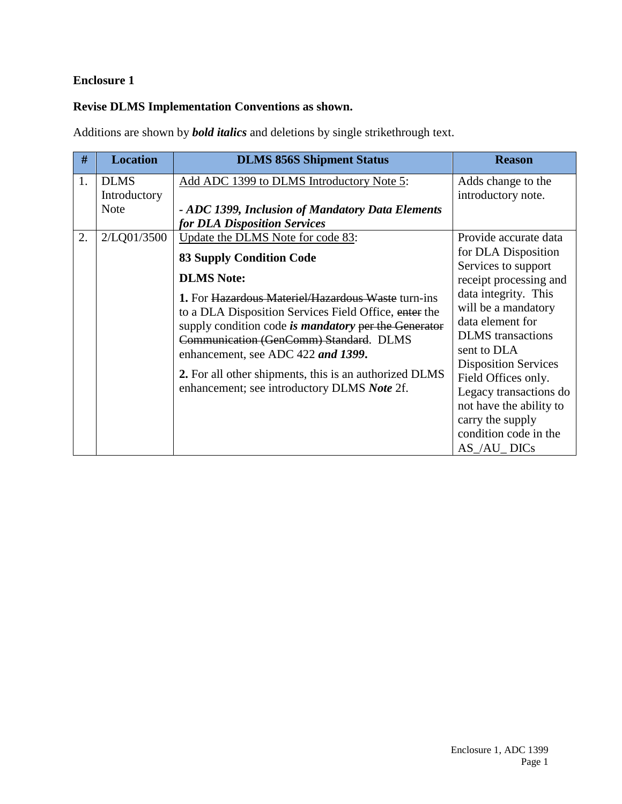## **Enclosure 1**

## **Revise DLMS Implementation Conventions as shown.**

Additions are shown by *bold italics* and deletions by single strikethrough text.

| #  | <b>Location</b> | <b>DLMS 856S Shipment Status</b>                            | <b>Reason</b>               |
|----|-----------------|-------------------------------------------------------------|-----------------------------|
| 1. | <b>DLMS</b>     | Add ADC 1399 to DLMS Introductory Note 5:                   | Adds change to the          |
|    | Introductory    |                                                             | introductory note.          |
|    | <b>Note</b>     | - ADC 1399, Inclusion of Mandatory Data Elements            |                             |
|    |                 | for DLA Disposition Services                                |                             |
| 2. | 2/LQ01/3500     | Update the DLMS Note for code 83:                           | Provide accurate data       |
|    |                 | <b>83 Supply Condition Code</b>                             | for DLA Disposition         |
|    |                 |                                                             | Services to support         |
|    |                 | <b>DLMS</b> Note:                                           | receipt processing and      |
|    |                 | 1. For Hazardous Materiel/Hazardous Waste turn-ins          | data integrity. This        |
|    |                 | to a DLA Disposition Services Field Office, enter the       | will be a mandatory         |
|    |                 | supply condition code is <i>mandatory</i> per the Generator | data element for            |
|    |                 | Communication (GenComm) Standard. DLMS                      | <b>DLMS</b> transactions    |
|    |                 | enhancement, see ADC 422 and 1399.                          | sent to DLA                 |
|    |                 |                                                             | <b>Disposition Services</b> |
|    |                 | 2. For all other shipments, this is an authorized DLMS      | Field Offices only.         |
|    |                 | enhancement; see introductory DLMS Note 2f.                 | Legacy transactions do      |
|    |                 |                                                             | not have the ability to     |
|    |                 |                                                             | carry the supply            |
|    |                 |                                                             | condition code in the       |
|    |                 |                                                             | $AS$ $/AU$ DICs             |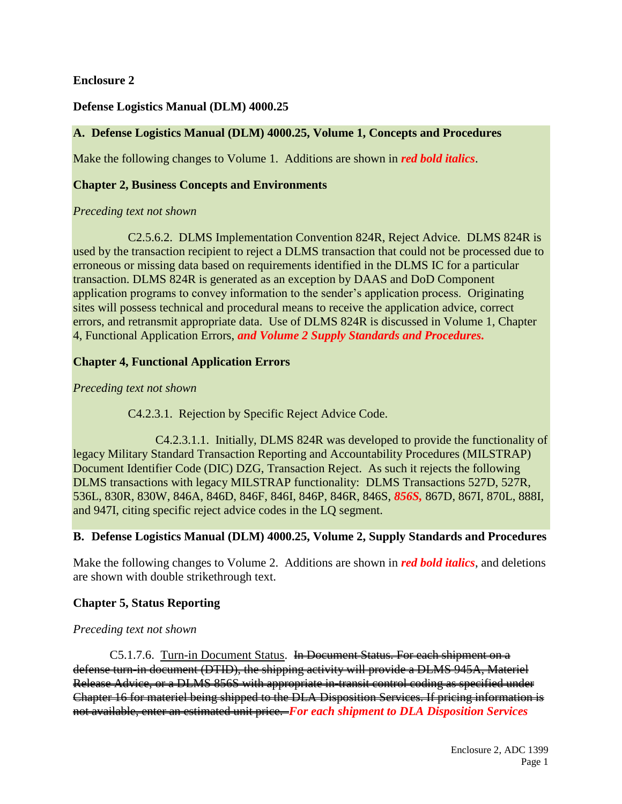#### **Enclosure 2**

#### **Defense Logistics Manual (DLM) 4000.25**

#### **A. Defense Logistics Manual (DLM) 4000.25, Volume 1, Concepts and Procedures**

Make the following changes to Volume 1. Additions are shown in *red bold italics*.

#### **Chapter 2, Business Concepts and Environments**

#### *Preceding text not shown*

C2.5.6.2. DLMS Implementation Convention 824R, Reject Advice. DLMS 824R is used by the transaction recipient to reject a DLMS transaction that could not be processed due to erroneous or missing data based on requirements identified in the DLMS IC for a particular transaction. DLMS 824R is generated as an exception by DAAS and DoD Component application programs to convey information to the sender's application process. Originating sites will possess technical and procedural means to receive the application advice, correct errors, and retransmit appropriate data. Use of DLMS 824R is discussed in Volume 1, Chapter 4, Functional Application Errors, *and Volume 2 Supply Standards and Procedures.*

#### **Chapter 4, Functional Application Errors**

#### *Preceding text not shown*

C4.2.3.1. Rejection by Specific Reject Advice Code.

C4.2.3.1.1. Initially, DLMS 824R was developed to provide the functionality of legacy Military Standard Transaction Reporting and Accountability Procedures (MILSTRAP) Document Identifier Code (DIC) DZG, Transaction Reject. As such it rejects the following DLMS transactions with legacy MILSTRAP functionality: DLMS Transactions 527D, 527R, 536L, 830R, 830W, 846A, 846D, 846F, 846I, 846P, 846R, 846S, *856S,* 867D, 867I, 870L, 888I, and 947I, citing specific reject advice codes in the LQ segment.

#### **B. Defense Logistics Manual (DLM) 4000.25, Volume 2, Supply Standards and Procedures**

Make the following changes to Volume 2. Additions are shown in *red bold italics*, and deletions are shown with double strikethrough text.

#### **Chapter 5, Status Reporting**

#### *Preceding text not shown*

C5.1.7.6. Turn-in Document Status.In Document Status. For each shipment on a defense turn-in document (DTID), the shipping activity will provide a DLMS 945A, Materiel Release Advice, or a DLMS 856S with appropriate in-transit control coding as specified under Chapter 16 for materiel being shipped to the DLA Disposition Services. If pricing information is not available, enter an estimated unit price. *For each shipment to DLA Disposition Services*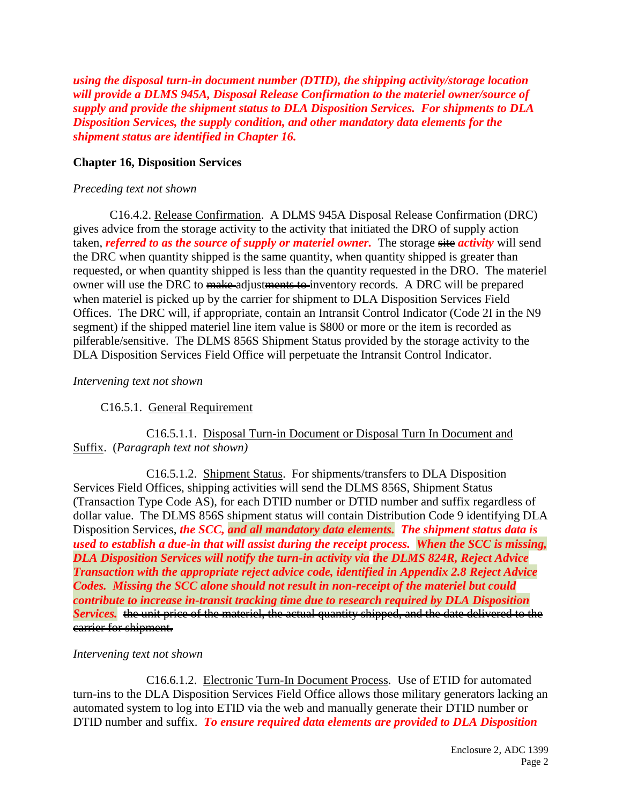*using the disposal turn-in document number (DTID), the shipping activity/storage location will provide a DLMS 945A, Disposal Release Confirmation to the materiel owner/source of supply and provide the shipment status to DLA Disposition Services. For shipments to DLA Disposition Services, the supply condition, and other mandatory data elements for the shipment status are identified in Chapter 16.*

#### **Chapter 16, Disposition Services**

#### *Preceding text not shown*

C16.4.2. Release Confirmation. A DLMS 945A Disposal Release Confirmation (DRC) gives advice from the storage activity to the activity that initiated the DRO of supply action taken, *referred to as the source of supply or materiel owner*. The storage site *activity* will send the DRC when quantity shipped is the same quantity, when quantity shipped is greater than requested, or when quantity shipped is less than the quantity requested in the DRO. The materiel owner will use the DRC to make-adjustments to inventory records. A DRC will be prepared when materiel is picked up by the carrier for shipment to DLA Disposition Services Field Offices. The DRC will, if appropriate, contain an Intransit Control Indicator (Code 2I in the N9 segment) if the shipped materiel line item value is \$800 or more or the item is recorded as pilferable/sensitive. The DLMS 856S Shipment Status provided by the storage activity to the DLA Disposition Services Field Office will perpetuate the Intransit Control Indicator.

#### *Intervening text not shown*

### C16.5.1. General Requirement

#### C16.5.1.1. Disposal Turn-in Document or Disposal Turn In Document and Suffix. (*Paragraph text not shown)*

C16.5.1.2. Shipment Status. For shipments/transfers to DLA Disposition Services Field Offices, shipping activities will send the DLMS 856S, Shipment Status (Transaction Type Code AS), for each DTID number or DTID number and suffix regardless of dollar value. The DLMS 856S shipment status will contain Distribution Code 9 identifying DLA Disposition Services, *the SCC, and all mandatory data elements. The shipment status data is used to establish a due-in that will assist during the receipt process. When the SCC is missing, DLA Disposition Services will notify the turn-in activity via the DLMS 824R, Reject Advice Transaction with the appropriate reject advice code, identified in Appendix 2.8 Reject Advice Codes. Missing the SCC alone should not result in non-receipt of the materiel but could contribute to increase in-transit tracking time due to research required by DLA Disposition Services.* the unit price of the materiel, the actual quantity shipped, and the date delivered to the carrier for shipment.

#### *Intervening text not shown*

C16.6.1.2. Electronic Turn-In Document Process. Use of ETID for automated turn-ins to the DLA Disposition Services Field Office allows those military generators lacking an automated system to log into ETID via the web and manually generate their DTID number or DTID number and suffix. *To ensure required data elements are provided to DLA Disposition*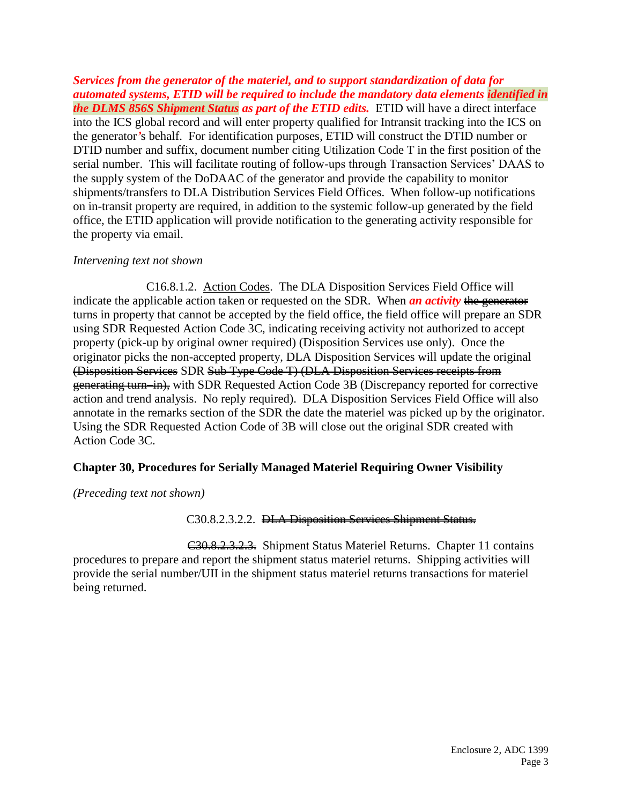*Services from the generator of the materiel, and to support standardization of data for automated systems, ETID will be required to include the mandatory data elements identified in the DLMS 856S Shipment Status as part of the ETID edits.* ETID will have a direct interface into the ICS global record and will enter property qualified for Intransit tracking into the ICS on the generator*'*s behalf. For identification purposes, ETID will construct the DTID number or DTID number and suffix, document number citing Utilization Code T in the first position of the serial number. This will facilitate routing of follow-ups through Transaction Services' DAAS to the supply system of the DoDAAC of the generator and provide the capability to monitor shipments/transfers to DLA Distribution Services Field Offices. When follow-up notifications on in-transit property are required, in addition to the systemic follow-up generated by the field office, the ETID application will provide notification to the generating activity responsible for the property via email.

#### *Intervening text not shown*

C16.8.1.2. Action Codes. The DLA Disposition Services Field Office will indicate the applicable action taken or requested on the SDR. When **an activity** the generator turns in property that cannot be accepted by the field office, the field office will prepare an SDR using SDR Requested Action Code 3C, indicating receiving activity not authorized to accept property (pick-up by original owner required) (Disposition Services use only). Once the originator picks the non-accepted property, DLA Disposition Services will update the original (Disposition Services SDR Sub Type Code T) (DLA Disposition Services receipts from generating turn–in), with SDR Requested Action Code 3B (Discrepancy reported for corrective action and trend analysis. No reply required). DLA Disposition Services Field Office will also annotate in the remarks section of the SDR the date the materiel was picked up by the originator. Using the SDR Requested Action Code of 3B will close out the original SDR created with Action Code 3C.

#### **Chapter 30, Procedures for Serially Managed Materiel Requiring Owner Visibility**

*(Preceding text not shown)*

C30.8.2.3.2.2. DLA Disposition Services Shipment Status.

C30.8.2.3.2.3. Shipment Status Materiel Returns. Chapter 11 contains procedures to prepare and report the shipment status materiel returns. Shipping activities will provide the serial number/UII in the shipment status materiel returns transactions for materiel being returned.